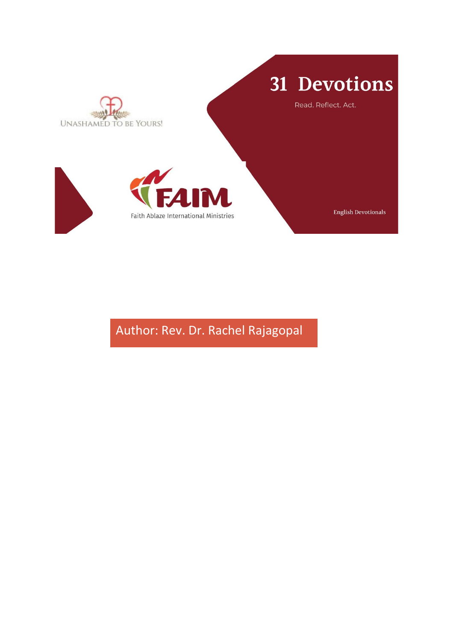

Author: Rev. Dr. Rachel Rajagopal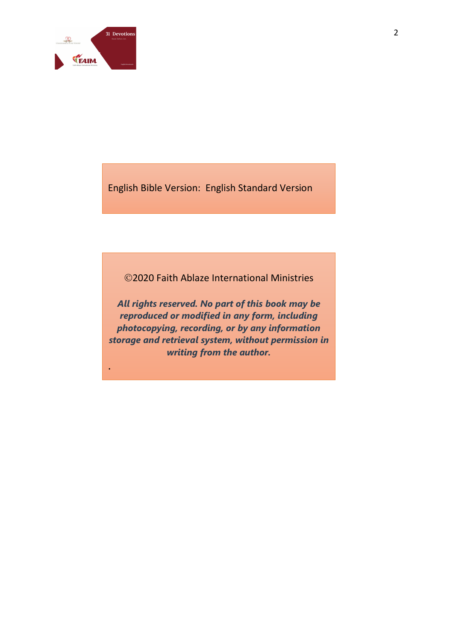

.

English Bible Version: English Standard Version

©2020 Faith Ablaze International Ministries

*All rights reserved. No part of this book may be reproduced or modified in any form, including photocopying, recording, or by any information storage and retrieval system, without permission in writing from the author.*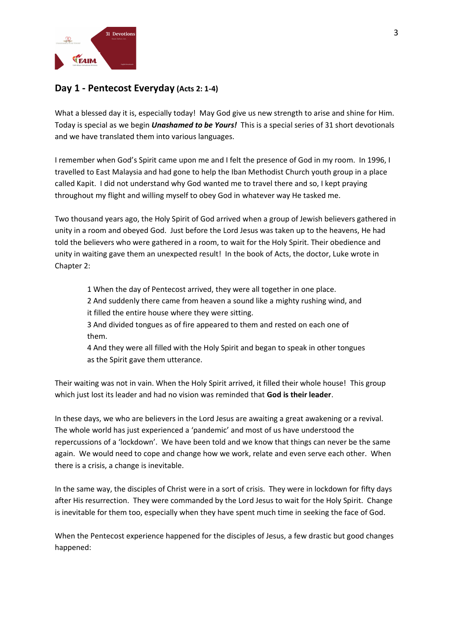

## **Day 1 - Pentecost Everyday (Acts 2: 1-4)**

What a blessed day it is, especially today! May God give us new strength to arise and shine for Him. Today is special as we begin *Unashamed to be Yours!* This is a special series of 31 short devotionals and we have translated them into various languages.

I remember when God's Spirit came upon me and I felt the presence of God in my room. In 1996, I travelled to East Malaysia and had gone to help the Iban Methodist Church youth group in a place called Kapit. I did not understand why God wanted me to travel there and so, I kept praying throughout my flight and willing myself to obey God in whatever way He tasked me.

Two thousand years ago, the Holy Spirit of God arrived when a group of Jewish believers gathered in unity in a room and obeyed God. Just before the Lord Jesus was taken up to the heavens, He had told the believers who were gathered in a room, to wait for the Holy Spirit. Their obedience and unity in waiting gave them an unexpected result! In the book of Acts, the doctor, Luke wrote in Chapter 2:

1 When the day of Pentecost arrived, they were all together in one place.

2 And suddenly there came from heaven a sound like a mighty rushing wind, and it filled the entire house where they were sitting.

3 And divided tongues as of fire appeared to them and rested on each one of them.

4 And they were all filled with the Holy Spirit and began to speak in other tongues as the Spirit gave them utterance.

Their waiting was not in vain. When the Holy Spirit arrived, it filled their whole house! This group which just lost its leader and had no vision was reminded that **God is their leader**.

In these days, we who are believers in the Lord Jesus are awaiting a great awakening or a revival. The whole world has just experienced a 'pandemic' and most of us have understood the repercussions of a 'lockdown'. We have been told and we know that things can never be the same again. We would need to cope and change how we work, relate and even serve each other. When there is a crisis, a change is inevitable.

In the same way, the disciples of Christ were in a sort of crisis. They were in lockdown for fifty days after His resurrection. They were commanded by the Lord Jesus to wait for the Holy Spirit. Change is inevitable for them too, especially when they have spent much time in seeking the face of God.

When the Pentecost experience happened for the disciples of Jesus, a few drastic but good changes happened: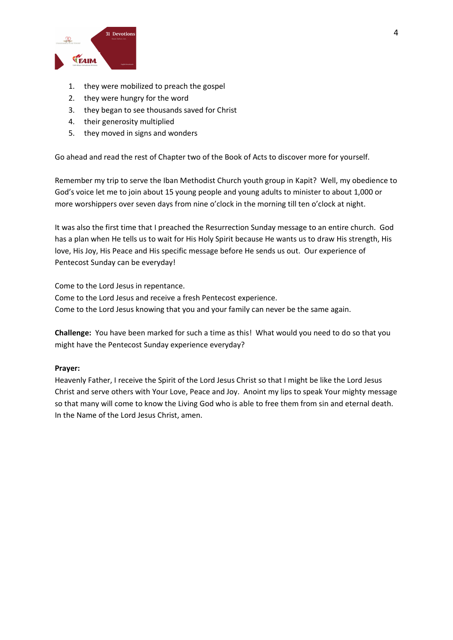

- 1. they were mobilized to preach the gospel
- 2. they were hungry for the word
- 3. they began to see thousands saved for Christ
- 4. their generosity multiplied
- 5. they moved in signs and wonders

Go ahead and read the rest of Chapter two of the Book of Acts to discover more for yourself.

Remember my trip to serve the Iban Methodist Church youth group in Kapit? Well, my obedience to God's voice let me to join about 15 young people and young adults to minister to about 1,000 or more worshippers over seven days from nine o'clock in the morning till ten o'clock at night.

It was also the first time that I preached the Resurrection Sunday message to an entire church. God has a plan when He tells us to wait for His Holy Spirit because He wants us to draw His strength, His love, His Joy, His Peace and His specific message before He sends us out. Our experience of Pentecost Sunday can be everyday!

Come to the Lord Jesus in repentance.

Come to the Lord Jesus and receive a fresh Pentecost experience. Come to the Lord Jesus knowing that you and your family can never be the same again.

**Challenge:** You have been marked for such a time as this! What would you need to do so that you might have the Pentecost Sunday experience everyday?

### **Prayer:**

Heavenly Father, I receive the Spirit of the Lord Jesus Christ so that I might be like the Lord Jesus Christ and serve others with Your Love, Peace and Joy. Anoint my lips to speak Your mighty message so that many will come to know the Living God who is able to free them from sin and eternal death. In the Name of the Lord Jesus Christ, amen.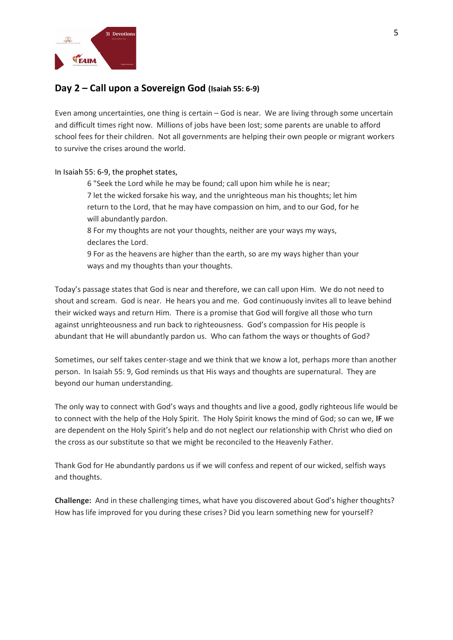

## **Day 2 – Call upon a Sovereign God (Isaiah 55: 6-9)**

Even among uncertainties, one thing is certain – God is near. We are living through some uncertain and difficult times right now. Millions of jobs have been lost; some parents are unable to afford school fees for their children. Not all governments are helping their own people or migrant workers to survive the crises around the world.

In Isaiah 55: 6-9, the prophet states,

6 "Seek the Lord while he may be found; call upon him while he is near; 7 let the wicked forsake his way, and the unrighteous man his thoughts; let him return to the Lord, that he may have compassion on him, and to our God, for he will abundantly pardon.

8 For my thoughts are not your thoughts, neither are your ways my ways, declares the Lord.

9 For as the heavens are higher than the earth, so are my ways higher than your ways and my thoughts than your thoughts.

Today's passage states that God is near and therefore, we can call upon Him. We do not need to shout and scream. God is near. He hears you and me. God continuously invites all to leave behind their wicked ways and return Him. There is a promise that God will forgive all those who turn against unrighteousness and run back to righteousness. God's compassion for His people is abundant that He will abundantly pardon us. Who can fathom the ways or thoughts of God?

Sometimes, our self takes center-stage and we think that we know a lot, perhaps more than another person. In Isaiah 55: 9, God reminds us that His ways and thoughts are supernatural. They are beyond our human understanding.

The only way to connect with God's ways and thoughts and live a good, godly righteous life would be to connect with the help of the Holy Spirit. The Holy Spirit knows the mind of God; so can we, **IF** we are dependent on the Holy Spirit's help and do not neglect our relationship with Christ who died on the cross as our substitute so that we might be reconciled to the Heavenly Father.

Thank God for He abundantly pardons us if we will confess and repent of our wicked, selfish ways and thoughts.

**Challenge:** And in these challenging times, what have you discovered about God's higher thoughts? How has life improved for you during these crises? Did you learn something new for yourself?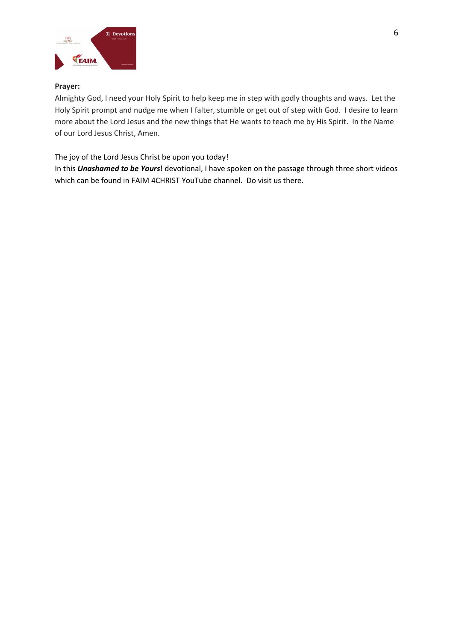

### **Prayer:**

Almighty God, I need your Holy Spirit to help keep me in step with godly thoughts and ways. Let the Holy Spirit prompt and nudge me when I falter, stumble or get out of step with God. I desire to learn more about the Lord Jesus and the new things that He wants to teach me by His Spirit. In the Name of our Lord Jesus Christ, Amen.

The joy of the Lord Jesus Christ be upon you today!

In this *Unashamed to be Yours*! devotional, I have spoken on the passage through three short videos which can be found in FAIM 4CHRIST YouTube channel. Do visit us there.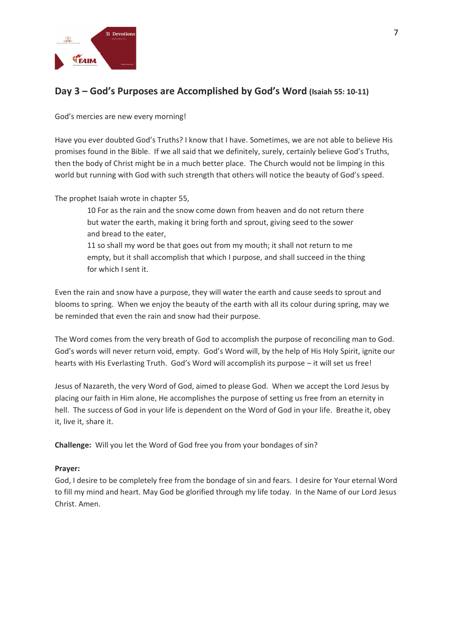

# **Day 3 – God's Purposes are Accomplished by God's Word (Isaiah 55: 10-11)**

God's mercies are new every morning!

Have you ever doubted God's Truths? I know that I have. Sometimes, we are not able to believe His promises found in the Bible. If we all said that we definitely, surely, certainly believe God's Truths, then the body of Christ might be in a much better place. The Church would not be limping in this world but running with God with such strength that others will notice the beauty of God's speed.

The prophet Isaiah wrote in chapter 55,

10 For as the rain and the snow come down from heaven and do not return there but water the earth, making it bring forth and sprout, giving seed to the sower and bread to the eater,

11 so shall my word be that goes out from my mouth; it shall not return to me empty, but it shall accomplish that which I purpose, and shall succeed in the thing for which I sent it.

Even the rain and snow have a purpose, they will water the earth and cause seeds to sprout and blooms to spring. When we enjoy the beauty of the earth with all its colour during spring, may we be reminded that even the rain and snow had their purpose.

The Word comes from the very breath of God to accomplish the purpose of reconciling man to God. God's words will never return void, empty. God's Word will, by the help of His Holy Spirit, ignite our hearts with His Everlasting Truth. God's Word will accomplish its purpose – it will set us free!

Jesus of Nazareth, the very Word of God, aimed to please God. When we accept the Lord Jesus by placing our faith in Him alone, He accomplishes the purpose of setting us free from an eternity in hell. The success of God in your life is dependent on the Word of God in your life. Breathe it, obey it, live it, share it.

**Challenge:** Will you let the Word of God free you from your bondages of sin?

### **Prayer:**

God, I desire to be completely free from the bondage of sin and fears. I desire for Your eternal Word to fill my mind and heart. May God be glorified through my life today. In the Name of our Lord Jesus Christ. Amen.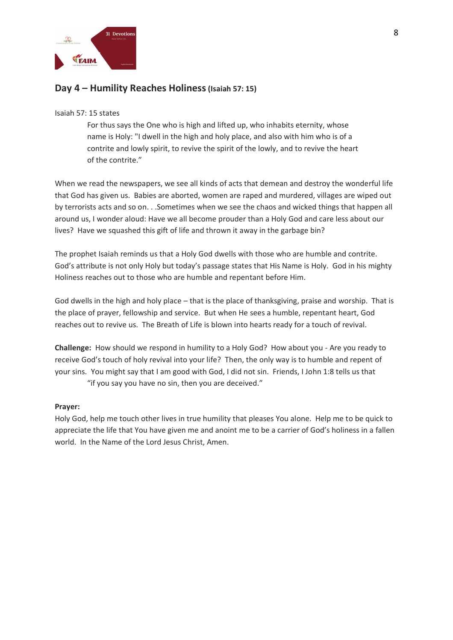

### **Day 4 – Humility Reaches Holiness(Isaiah 57: 15)**

#### Isaiah 57: 15 states

For thus says the One who is high and lifted up, who inhabits eternity, whose name is Holy: "I dwell in the high and holy place, and also with him who is of a contrite and lowly spirit, to revive the spirit of the lowly, and to revive the heart of the contrite."

When we read the newspapers, we see all kinds of acts that demean and destroy the wonderful life that God has given us. Babies are aborted, women are raped and murdered, villages are wiped out by terrorists acts and so on. . .Sometimes when we see the chaos and wicked things that happen all around us, I wonder aloud: Have we all become prouder than a Holy God and care less about our lives? Have we squashed this gift of life and thrown it away in the garbage bin?

The prophet Isaiah reminds us that a Holy God dwells with those who are humble and contrite. God's attribute is not only Holy but today's passage states that His Name is Holy. God in his mighty Holiness reaches out to those who are humble and repentant before Him.

God dwells in the high and holy place – that is the place of thanksgiving, praise and worship. That is the place of prayer, fellowship and service. But when He sees a humble, repentant heart, God reaches out to revive us. The Breath of Life is blown into hearts ready for a touch of revival.

**Challenge:** How should we respond in humility to a Holy God? How about you - Are you ready to receive God's touch of holy revival into your life? Then, the only way is to humble and repent of your sins. You might say that I am good with God, I did not sin. Friends, I John 1:8 tells us that "if you say you have no sin, then you are deceived."

### **Prayer:**

Holy God, help me touch other lives in true humility that pleases You alone. Help me to be quick to appreciate the life that You have given me and anoint me to be a carrier of God's holiness in a fallen world. In the Name of the Lord Jesus Christ, Amen.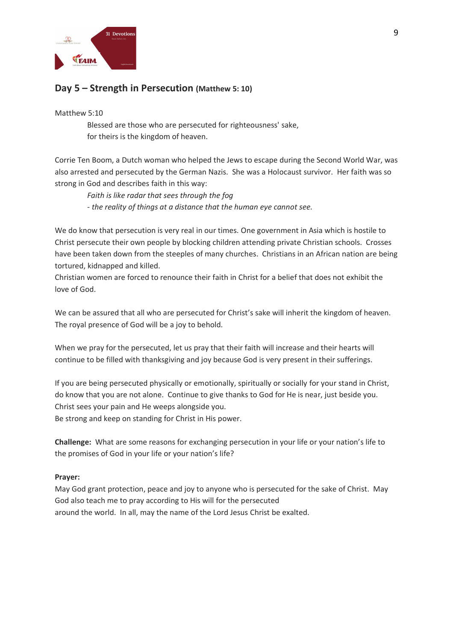

## **Day 5 – Strength in Persecution (Matthew 5: 10)**

#### Matthew 5:10

Blessed are those who are persecuted for righteousness' sake, for theirs is the kingdom of heaven.

Corrie Ten Boom, a Dutch woman who helped the Jews to escape during the Second World War, was also arrested and persecuted by the German Nazis. She was a Holocaust survivor. Her faith was so strong in God and describes faith in this way:

*Faith is like radar that sees through the fog - the reality of things at a distance that the human eye cannot see.*

We do know that persecution is very real in our times. One government in Asia which is hostile to Christ persecute their own people by blocking children attending private Christian schools. Crosses have been taken down from the steeples of many churches. Christians in an African nation are being tortured, kidnapped and killed.

Christian women are forced to renounce their faith in Christ for a belief that does not exhibit the love of God.

We can be assured that all who are persecuted for Christ's sake will inherit the kingdom of heaven. The royal presence of God will be a joy to behold.

When we pray for the persecuted, let us pray that their faith will increase and their hearts will continue to be filled with thanksgiving and joy because God is very present in their sufferings.

If you are being persecuted physically or emotionally, spiritually or socially for your stand in Christ, do know that you are not alone. Continue to give thanks to God for He is near, just beside you. Christ sees your pain and He weeps alongside you.

Be strong and keep on standing for Christ in His power.

**Challenge:** What are some reasons for exchanging persecution in your life or your nation's life to the promises of God in your life or your nation's life?

### **Prayer:**

May God grant protection, peace and joy to anyone who is persecuted for the sake of Christ. May God also teach me to pray according to His will for the persecuted around the world. In all, may the name of the Lord Jesus Christ be exalted.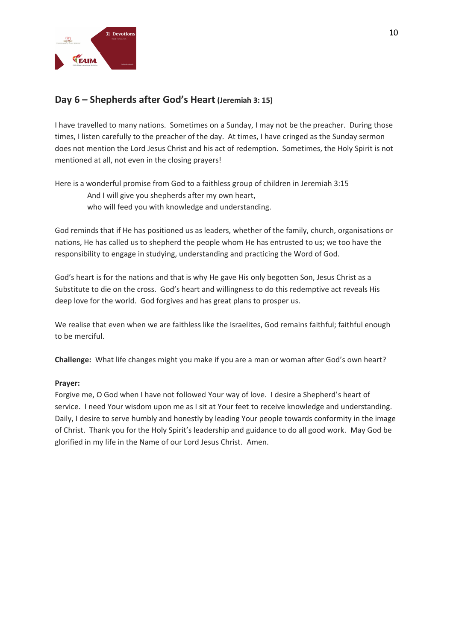

## **Day 6 – Shepherds after God's Heart (Jeremiah 3: 15)**

I have travelled to many nations. Sometimes on a Sunday, I may not be the preacher. During those times, I listen carefully to the preacher of the day. At times, I have cringed as the Sunday sermon does not mention the Lord Jesus Christ and his act of redemption. Sometimes, the Holy Spirit is not mentioned at all, not even in the closing prayers!

Here is a wonderful promise from God to a faithless group of children in Jeremiah 3:15 And I will give you shepherds after my own heart, who will feed you with knowledge and understanding.

God reminds that if He has positioned us as leaders, whether of the family, church, organisations or nations, He has called us to shepherd the people whom He has entrusted to us; we too have the responsibility to engage in studying, understanding and practicing the Word of God.

God's heart is for the nations and that is why He gave His only begotten Son, Jesus Christ as a Substitute to die on the cross. God's heart and willingness to do this redemptive act reveals His deep love for the world. God forgives and has great plans to prosper us.

We realise that even when we are faithless like the Israelites, God remains faithful; faithful enough to be merciful.

**Challenge:** What life changes might you make if you are a man or woman after God's own heart?

### **Prayer:**

Forgive me, O God when I have not followed Your way of love. I desire a Shepherd's heart of service. I need Your wisdom upon me as I sit at Your feet to receive knowledge and understanding. Daily, I desire to serve humbly and honestly by leading Your people towards conformity in the image of Christ. Thank you for the Holy Spirit's leadership and guidance to do all good work. May God be glorified in my life in the Name of our Lord Jesus Christ. Amen.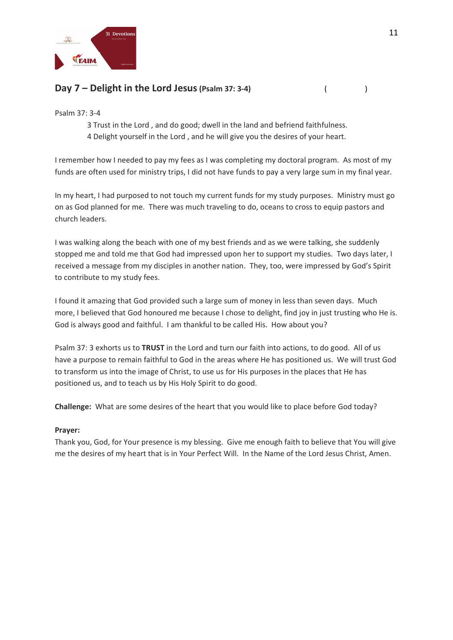

# **Day 7 – Delight in the Lord Jesus(Psalm 37: 3-4)** ( )

Psalm 37: 3-4

3 Trust in the Lord , and do good; dwell in the land and befriend faithfulness. 4 Delight yourself in the Lord , and he will give you the desires of your heart.

I remember how I needed to pay my fees as I was completing my doctoral program. As most of my funds are often used for ministry trips, I did not have funds to pay a very large sum in my final year.

In my heart, I had purposed to not touch my current funds for my study purposes. Ministry must go on as God planned for me. There was much traveling to do, oceans to cross to equip pastors and church leaders.

I was walking along the beach with one of my best friends and as we were talking, she suddenly stopped me and told me that God had impressed upon her to support my studies. Two days later, I received a message from my disciples in another nation. They, too, were impressed by God's Spirit to contribute to my study fees.

I found it amazing that God provided such a large sum of money in less than seven days. Much more, I believed that God honoured me because I chose to delight, find joy in just trusting who He is. God is always good and faithful. I am thankful to be called His. How about you?

Psalm 37: 3 exhorts us to **TRUST** in the Lord and turn our faith into actions, to do good. All of us have a purpose to remain faithful to God in the areas where He has positioned us. We will trust God to transform us into the image of Christ, to use us for His purposes in the places that He has positioned us, and to teach us by His Holy Spirit to do good.

**Challenge:** What are some desires of the heart that you would like to place before God today?

### **Prayer:**

Thank you, God, for Your presence is my blessing. Give me enough faith to believe that You will give me the desires of my heart that is in Your Perfect Will. In the Name of the Lord Jesus Christ, Amen.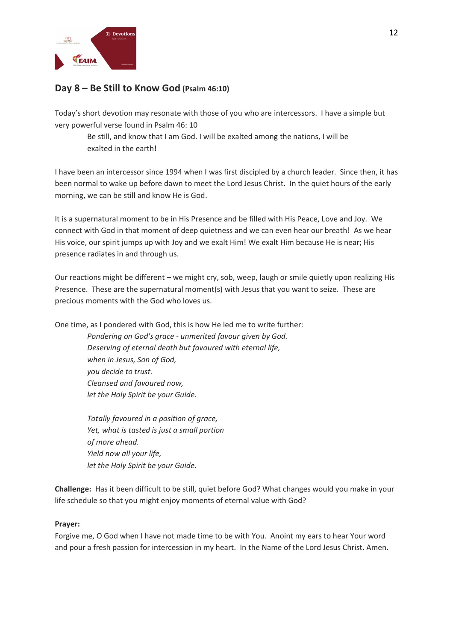

# **Day 8 – Be Still to Know God (Psalm 46:10)**

Today's short devotion may resonate with those of you who are intercessors. I have a simple but very powerful verse found in Psalm 46: 10

Be still, and know that I am God. I will be exalted among the nations, I will be exalted in the earth!

I have been an intercessor since 1994 when I was first discipled by a church leader. Since then, it has been normal to wake up before dawn to meet the Lord Jesus Christ. In the quiet hours of the early morning, we can be still and know He is God.

It is a supernatural moment to be in His Presence and be filled with His Peace, Love and Joy. We connect with God in that moment of deep quietness and we can even hear our breath! As we hear His voice, our spirit jumps up with Joy and we exalt Him! We exalt Him because He is near; His presence radiates in and through us.

Our reactions might be different – we might cry, sob, weep, laugh or smile quietly upon realizing His Presence. These are the supernatural moment(s) with Jesus that you want to seize. These are precious moments with the God who loves us.

One time, as I pondered with God, this is how He led me to write further:

*Pondering on God's grace - unmerited favour given by God. Deserving of eternal death but favoured with eternal life, when in Jesus, Son of God, you decide to trust. Cleansed and favoured now, let the Holy Spirit be your Guide.*

*Totally favoured in a position of grace, Yet, what is tasted is just a small portion of more ahead. Yield now all your life, let the Holy Spirit be your Guide.*

**Challenge:** Has it been difficult to be still, quiet before God? What changes would you make in your life schedule so that you might enjoy moments of eternal value with God?

### **Prayer:**

Forgive me, O God when I have not made time to be with You. Anoint my ears to hear Your word and pour a fresh passion for intercession in my heart. In the Name of the Lord Jesus Christ. Amen.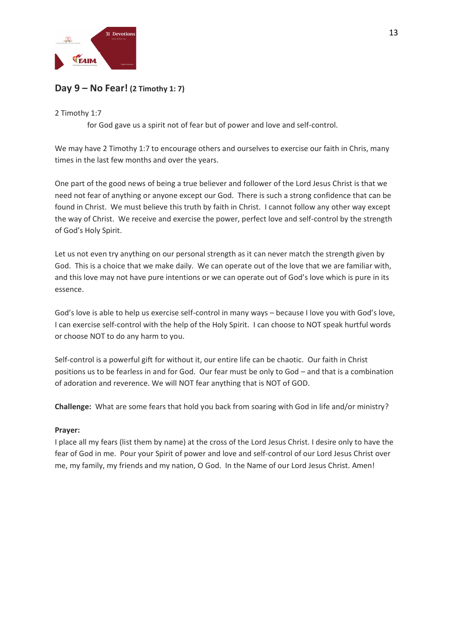

# **Day 9 – No Fear! (2 Timothy 1: 7)**

### 2 Timothy 1:7

for God gave us a spirit not of fear but of power and love and self-control.

We may have 2 Timothy 1:7 to encourage others and ourselves to exercise our faith in Chris, many times in the last few months and over the years.

One part of the good news of being a true believer and follower of the Lord Jesus Christ is that we need not fear of anything or anyone except our God. There is such a strong confidence that can be found in Christ. We must believe this truth by faith in Christ. I cannot follow any other way except the way of Christ. We receive and exercise the power, perfect love and self-control by the strength of God's Holy Spirit.

Let us not even try anything on our personal strength as it can never match the strength given by God. This is a choice that we make daily. We can operate out of the love that we are familiar with, and this love may not have pure intentions or we can operate out of God's love which is pure in its essence.

God's love is able to help us exercise self-control in many ways – because I love you with God's love, I can exercise self-control with the help of the Holy Spirit. I can choose to NOT speak hurtful words or choose NOT to do any harm to you.

Self-control is a powerful gift for without it, our entire life can be chaotic. Our faith in Christ positions us to be fearless in and for God. Our fear must be only to God – and that is a combination of adoration and reverence. We will NOT fear anything that is NOT of GOD.

**Challenge:** What are some fears that hold you back from soaring with God in life and/or ministry?

### **Prayer:**

I place all my fears (list them by name) at the cross of the Lord Jesus Christ. I desire only to have the fear of God in me. Pour your Spirit of power and love and self-control of our Lord Jesus Christ over me, my family, my friends and my nation, O God. In the Name of our Lord Jesus Christ. Amen!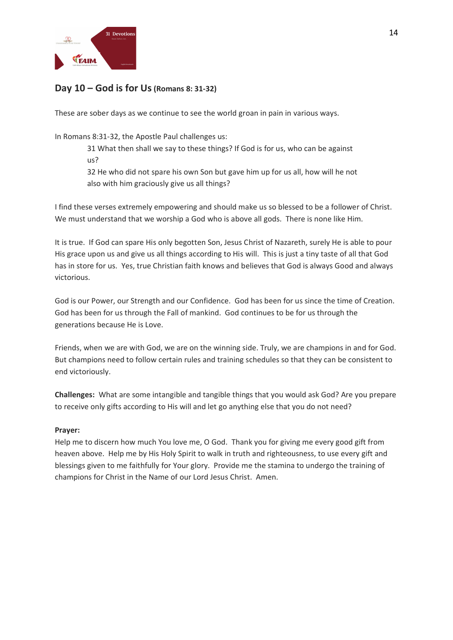

## **Day 10 – God is for Us(Romans 8: 31-32)**

These are sober days as we continue to see the world groan in pain in various ways.

### In Romans 8:31-32, the Apostle Paul challenges us:

31 What then shall we say to these things? If God is for us, who can be against us?

32 He who did not spare his own Son but gave him up for us all, how will he not also with him graciously give us all things?

I find these verses extremely empowering and should make us so blessed to be a follower of Christ. We must understand that we worship a God who is above all gods. There is none like Him.

It is true. If God can spare His only begotten Son, Jesus Christ of Nazareth, surely He is able to pour His grace upon us and give us all things according to His will. This is just a tiny taste of all that God has in store for us. Yes, true Christian faith knows and believes that God is always Good and always victorious.

God is our Power, our Strength and our Confidence. God has been for us since the time of Creation. God has been for us through the Fall of mankind. God continues to be for us through the generations because He is Love.

Friends, when we are with God, we are on the winning side. Truly, we are champions in and for God. But champions need to follow certain rules and training schedules so that they can be consistent to end victoriously.

**Challenges:** What are some intangible and tangible things that you would ask God? Are you prepare to receive only gifts according to His will and let go anything else that you do not need?

### **Prayer:**

Help me to discern how much You love me, O God. Thank you for giving me every good gift from heaven above. Help me by His Holy Spirit to walk in truth and righteousness, to use every gift and blessings given to me faithfully for Your glory. Provide me the stamina to undergo the training of champions for Christ in the Name of our Lord Jesus Christ. Amen.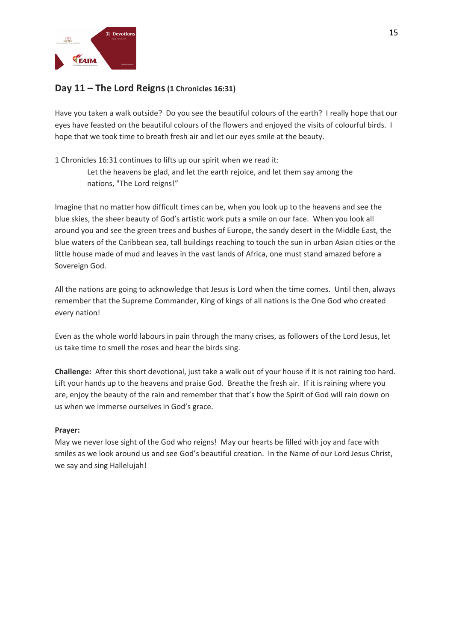

## **Day 11 – The Lord Reigns(1 Chronicles 16:31)**

Have you taken a walk outside? Do you see the beautiful colours of the earth? I really hope that our eyes have feasted on the beautiful colours of the flowers and enjoyed the visits of colourful birds. I hope that we took time to breath fresh air and let our eyes smile at the beauty.

1 Chronicles 16:31 continues to lifts up our spirit when we read it:

Let the heavens be glad, and let the earth rejoice, and let them say among the nations, "The Lord reigns!"

Imagine that no matter how difficult times can be, when you look up to the heavens and see the blue skies, the sheer beauty of God's artistic work puts a smile on our face. When you look all around you and see the green trees and bushes of Europe, the sandy desert in the Middle East, the blue waters of the Caribbean sea, tall buildings reaching to touch the sun in urban Asian cities or the little house made of mud and leaves in the vast lands of Africa, one must stand amazed before a Sovereign God.

All the nations are going to acknowledge that Jesus is Lord when the time comes. Until then, always remember that the Supreme Commander, King of kings of all nations is the One God who created every nation!

Even as the whole world labours in pain through the many crises, as followers of the Lord Jesus, let us take time to smell the roses and hear the birds sing.

**Challenge:** After this short devotional, just take a walk out of your house if it is not raining too hard. Lift your hands up to the heavens and praise God. Breathe the fresh air. If it is raining where you are, enjoy the beauty of the rain and remember that that's how the Spirit of God will rain down on us when we immerse ourselves in God's grace.

### **Prayer:**

May we never lose sight of the God who reigns! May our hearts be filled with joy and face with smiles as we look around us and see God's beautiful creation. In the Name of our Lord Jesus Christ, we say and sing Hallelujah!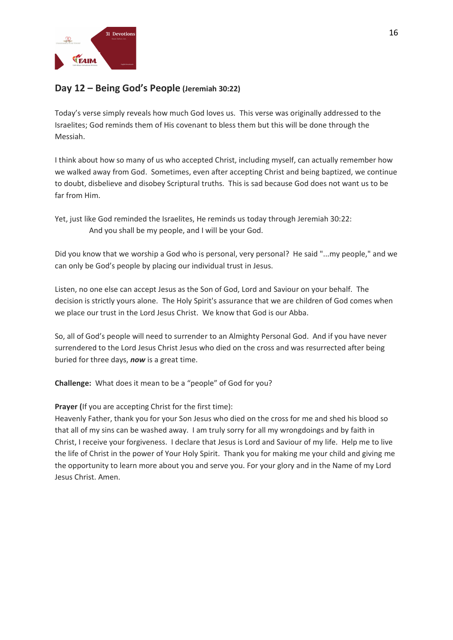

# **Day 12 – Being God's People (Jeremiah 30:22)**

Today's verse simply reveals how much God loves us. This verse was originally addressed to the Israelites; God reminds them of His covenant to bless them but this will be done through the Messiah.

I think about how so many of us who accepted Christ, including myself, can actually remember how we walked away from God. Sometimes, even after accepting Christ and being baptized, we continue to doubt, disbelieve and disobey Scriptural truths. This is sad because God does not want us to be far from Him.

Yet, just like God reminded the Israelites, He reminds us today through Jeremiah 30:22: And you shall be my people, and I will be your God.

Did you know that we worship a God who is personal, very personal? He said "...my people," and we can only be God's people by placing our individual trust in Jesus.

Listen, no one else can accept Jesus as the Son of God, Lord and Saviour on your behalf. The decision is strictly yours alone. The Holy Spirit's assurance that we are children of God comes when we place our trust in the Lord Jesus Christ. We know that God is our Abba.

So, all of God's people will need to surrender to an Almighty Personal God. And if you have never surrendered to the Lord Jesus Christ Jesus who died on the cross and was resurrected after being buried for three days, *now* is a great time.

**Challenge:** What does it mean to be a "people" of God for you?

### **Prayer (**If you are accepting Christ for the first time):

Heavenly Father, thank you for your Son Jesus who died on the cross for me and shed his blood so that all of my sins can be washed away. I am truly sorry for all my wrongdoings and by faith in Christ, I receive your forgiveness. I declare that Jesus is Lord and Saviour of my life. Help me to live the life of Christ in the power of Your Holy Spirit. Thank you for making me your child and giving me the opportunity to learn more about you and serve you. For your glory and in the Name of my Lord Jesus Christ. Amen.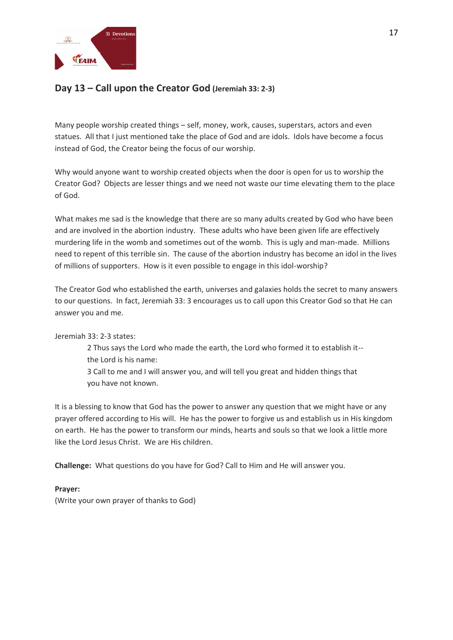

# **Day 13 – Call upon the Creator God (Jeremiah 33: 2-3)**

Many people worship created things – self, money, work, causes, superstars, actors and even statues. All that I just mentioned take the place of God and are idols. Idols have become a focus instead of God, the Creator being the focus of our worship.

Why would anyone want to worship created objects when the door is open for us to worship the Creator God? Objects are lesser things and we need not waste our time elevating them to the place of God.

What makes me sad is the knowledge that there are so many adults created by God who have been and are involved in the abortion industry. These adults who have been given life are effectively murdering life in the womb and sometimes out of the womb. This is ugly and man-made. Millions need to repent of this terrible sin. The cause of the abortion industry has become an idol in the lives of millions of supporters. How is it even possible to engage in this idol-worship?

The Creator God who established the earth, universes and galaxies holds the secret to many answers to our questions. In fact, Jeremiah 33: 3 encourages us to call upon this Creator God so that He can answer you and me.

Jeremiah 33: 2-3 states:

2 Thus says the Lord who made the earth, the Lord who formed it to establish it- the Lord is his name: 3 Call to me and I will answer you, and will tell you great and hidden things that you have not known.

It is a blessing to know that God has the power to answer any question that we might have or any prayer offered according to His will. He has the power to forgive us and establish us in His kingdom on earth. He has the power to transform our minds, hearts and souls so that we look a little more like the Lord Jesus Christ. We are His children.

**Challenge:** What questions do you have for God? Call to Him and He will answer you.

### **Prayer:**

(Write your own prayer of thanks to God)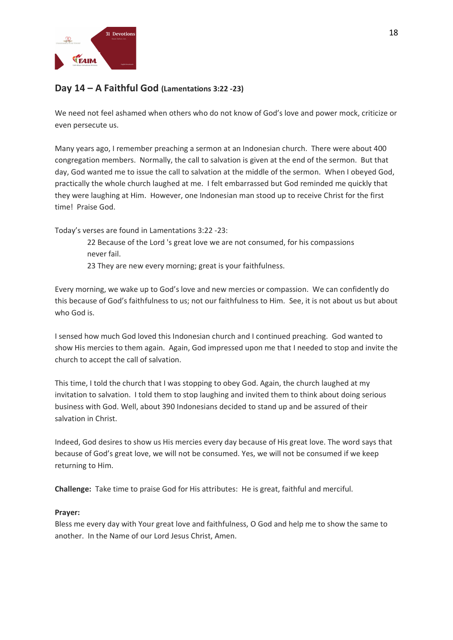

# **Day 14 – A Faithful God (Lamentations 3:22 -23)**

We need not feel ashamed when others who do not know of God's love and power mock, criticize or even persecute us.

Many years ago, I remember preaching a sermon at an Indonesian church. There were about 400 congregation members. Normally, the call to salvation is given at the end of the sermon. But that day, God wanted me to issue the call to salvation at the middle of the sermon. When I obeyed God, practically the whole church laughed at me. I felt embarrassed but God reminded me quickly that they were laughing at Him. However, one Indonesian man stood up to receive Christ for the first time! Praise God.

Today's verses are found in Lamentations 3:22 -23:

22 Because of the Lord 's great love we are not consumed, for his compassions never fail.

23 They are new every morning; great is your faithfulness.

Every morning, we wake up to God's love and new mercies or compassion. We can confidently do this because of God's faithfulness to us; not our faithfulness to Him. See, it is not about us but about who God is.

I sensed how much God loved this Indonesian church and I continued preaching. God wanted to show His mercies to them again. Again, God impressed upon me that I needed to stop and invite the church to accept the call of salvation.

This time, I told the church that I was stopping to obey God. Again, the church laughed at my invitation to salvation. I told them to stop laughing and invited them to think about doing serious business with God. Well, about 390 Indonesians decided to stand up and be assured of their salvation in Christ.

Indeed, God desires to show us His mercies every day because of His great love. The word says that because of God's great love, we will not be consumed. Yes, we will not be consumed if we keep returning to Him.

**Challenge:** Take time to praise God for His attributes: He is great, faithful and merciful.

### **Prayer:**

Bless me every day with Your great love and faithfulness, O God and help me to show the same to another. In the Name of our Lord Jesus Christ, Amen.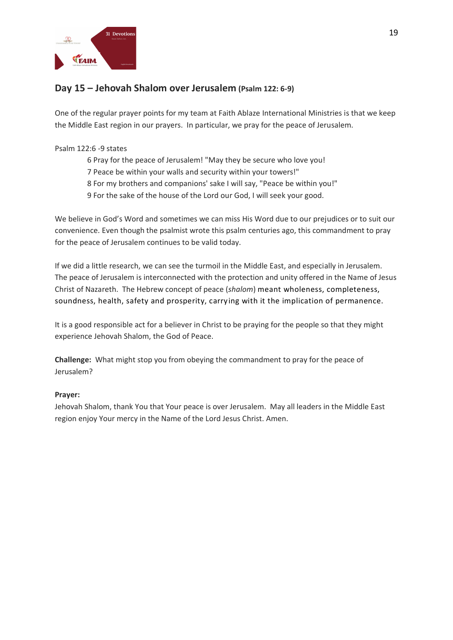

# **Day 15 – Jehovah Shalom over Jerusalem (Psalm 122: 6-9)**

One of the regular prayer points for my team at Faith Ablaze International Ministries is that we keep the Middle East region in our prayers. In particular, we pray for the peace of Jerusalem.

### Psalm 122:6 -9 states

- 6 Pray for the peace of Jerusalem! "May they be secure who love you!
- 7 Peace be within your walls and security within your towers!"
- 8 For my brothers and companions' sake I will say, "Peace be within you!"
- 9 For the sake of the house of the Lord our God, I will seek your good.

We believe in God's Word and sometimes we can miss His Word due to our prejudices or to suit our convenience. Even though the psalmist wrote this psalm centuries ago, this commandment to pray for the peace of Jerusalem continues to be valid today.

If we did a little research, we can see the turmoil in the Middle East, and especially in Jerusalem. The peace of Jerusalem is interconnected with the protection and unity offered in the Name of Jesus Christ of Nazareth. The Hebrew concept of peace (*shalom*) meant wholeness, completeness, soundness, health, safety and prosperity, carrying with it the implication of permanence.

It is a good responsible act for a believer in Christ to be praying for the people so that they might experience Jehovah Shalom, the God of Peace.

**Challenge:** What might stop you from obeying the commandment to pray for the peace of Jerusalem?

### **Prayer:**

Jehovah Shalom, thank You that Your peace is over Jerusalem. May all leaders in the Middle East region enjoy Your mercy in the Name of the Lord Jesus Christ. Amen.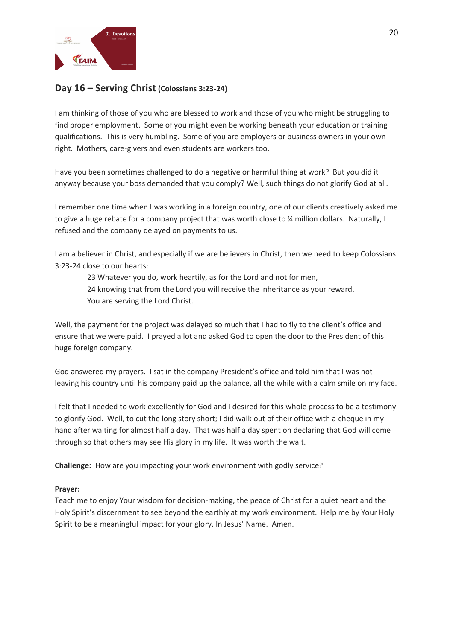

### **Day 16 – Serving Christ (Colossians 3:23-24)**

I am thinking of those of you who are blessed to work and those of you who might be struggling to find proper employment. Some of you might even be working beneath your education or training qualifications. This is very humbling. Some of you are employers or business owners in your own right. Mothers, care-givers and even students are workers too.

Have you been sometimes challenged to do a negative or harmful thing at work? But you did it anyway because your boss demanded that you comply? Well, such things do not glorify God at all.

I remember one time when I was working in a foreign country, one of our clients creatively asked me to give a huge rebate for a company project that was worth close to % million dollars. Naturally, I refused and the company delayed on payments to us.

I am a believer in Christ, and especially if we are believers in Christ, then we need to keep Colossians 3:23-24 close to our hearts:

23 Whatever you do, work heartily, as for the Lord and not for men, 24 knowing that from the Lord you will receive the inheritance as your reward. You are serving the Lord Christ.

Well, the payment for the project was delayed so much that I had to fly to the client's office and ensure that we were paid. I prayed a lot and asked God to open the door to the President of this huge foreign company.

God answered my prayers. I sat in the company President's office and told him that I was not leaving his country until his company paid up the balance, all the while with a calm smile on my face.

I felt that I needed to work excellently for God and I desired for this whole process to be a testimony to glorify God. Well, to cut the long story short; I did walk out of their office with a cheque in my hand after waiting for almost half a day. That was half a day spent on declaring that God will come through so that others may see His glory in my life. It was worth the wait.

**Challenge:** How are you impacting your work environment with godly service?

### **Prayer:**

Teach me to enjoy Your wisdom for decision-making, the peace of Christ for a quiet heart and the Holy Spirit's discernment to see beyond the earthly at my work environment. Help me by Your Holy Spirit to be a meaningful impact for your glory. In Jesus' Name. Amen.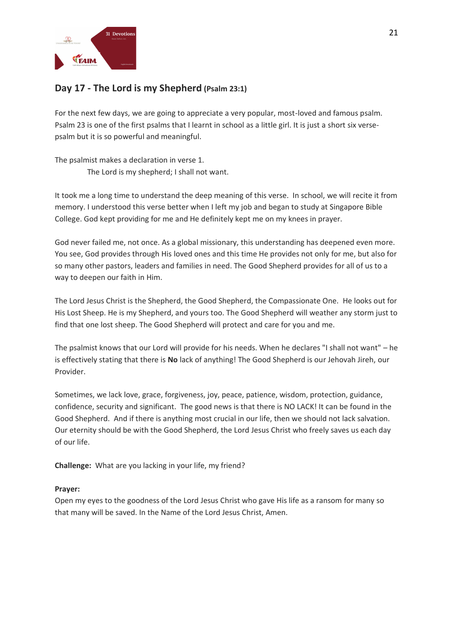

# **Day 17 - The Lord is my Shepherd (Psalm 23:1)**

For the next few days, we are going to appreciate a very popular, most-loved and famous psalm. Psalm 23 is one of the first psalms that I learnt in school as a little girl. It is just a short six versepsalm but it is so powerful and meaningful.

The psalmist makes a declaration in verse 1. The Lord is my shepherd; I shall not want.

It took me a long time to understand the deep meaning of this verse. In school, we will recite it from memory. I understood this verse better when I left my job and began to study at Singapore Bible College. God kept providing for me and He definitely kept me on my knees in prayer.

God never failed me, not once. As a global missionary, this understanding has deepened even more. You see, God provides through His loved ones and this time He provides not only for me, but also for so many other pastors, leaders and families in need. The Good Shepherd provides for all of us to a way to deepen our faith in Him.

The Lord Jesus Christ is the Shepherd, the Good Shepherd, the Compassionate One. He looks out for His Lost Sheep. He is my Shepherd, and yours too. The Good Shepherd will weather any storm just to find that one lost sheep. The Good Shepherd will protect and care for you and me.

The psalmist knows that our Lord will provide for his needs. When he declares "I shall not want" – he is effectively stating that there is **No** lack of anything! The Good Shepherd is our Jehovah Jireh, our Provider.

Sometimes, we lack love, grace, forgiveness, joy, peace, patience, wisdom, protection, guidance, confidence, security and significant. The good news is that there is NO LACK! It can be found in the Good Shepherd. And if there is anything most crucial in our life, then we should not lack salvation. Our eternity should be with the Good Shepherd, the Lord Jesus Christ who freely saves us each day of our life.

**Challenge:** What are you lacking in your life, my friend?

### **Prayer:**

Open my eyes to the goodness of the Lord Jesus Christ who gave His life as a ransom for many so that many will be saved. In the Name of the Lord Jesus Christ, Amen.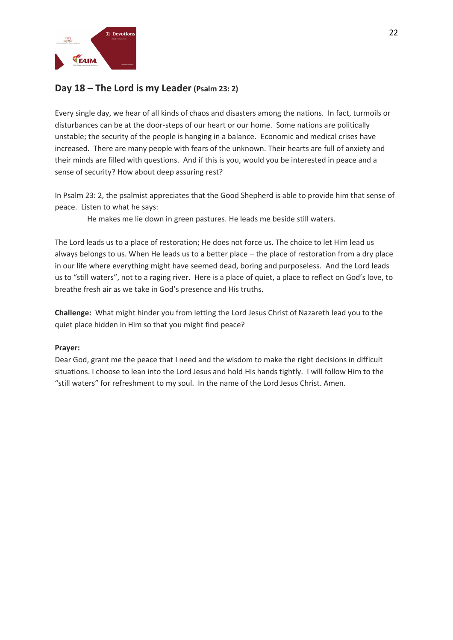

# **Day 18 – The Lord is my Leader (Psalm 23: 2)**

Every single day, we hear of all kinds of chaos and disasters among the nations. In fact, turmoils or disturbances can be at the door-steps of our heart or our home. Some nations are politically unstable; the security of the people is hanging in a balance. Economic and medical crises have increased. There are many people with fears of the unknown. Their hearts are full of anxiety and their minds are filled with questions. And if this is you, would you be interested in peace and a sense of security? How about deep assuring rest?

In Psalm 23: 2, the psalmist appreciates that the Good Shepherd is able to provide him that sense of peace. Listen to what he says:

He makes me lie down in green pastures. He leads me beside still waters.

The Lord leads us to a place of restoration; He does not force us. The choice to let Him lead us always belongs to us. When He leads us to a better place – the place of restoration from a dry place in our life where everything might have seemed dead, boring and purposeless. And the Lord leads us to "still waters", not to a raging river. Here is a place of quiet, a place to reflect on God's love, to breathe fresh air as we take in God's presence and His truths.

**Challenge:** What might hinder you from letting the Lord Jesus Christ of Nazareth lead you to the quiet place hidden in Him so that you might find peace?

### **Prayer:**

Dear God, grant me the peace that I need and the wisdom to make the right decisions in difficult situations. I choose to lean into the Lord Jesus and hold His hands tightly. I will follow Him to the "still waters" for refreshment to my soul. In the name of the Lord Jesus Christ. Amen.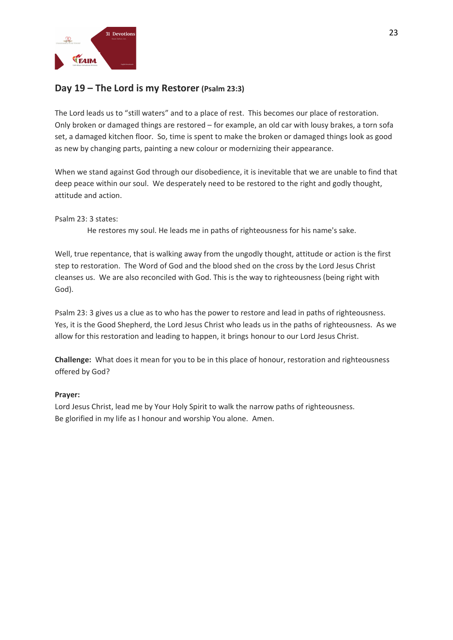

## **Day 19 – The Lord is my Restorer (Psalm 23:3)**

The Lord leads us to "still waters" and to a place of rest. This becomes our place of restoration. Only broken or damaged things are restored – for example, an old car with lousy brakes, a torn sofa set, a damaged kitchen floor. So, time is spent to make the broken or damaged things look as good as new by changing parts, painting a new colour or modernizing their appearance.

When we stand against God through our disobedience, it is inevitable that we are unable to find that deep peace within our soul. We desperately need to be restored to the right and godly thought, attitude and action.

### Psalm 23: 3 states:

He restores my soul. He leads me in paths of righteousness for his name's sake.

Well, true repentance, that is walking away from the ungodly thought, attitude or action is the first step to restoration. The Word of God and the blood shed on the cross by the Lord Jesus Christ cleanses us. We are also reconciled with God. This is the way to righteousness (being right with God).

Psalm 23: 3 gives us a clue as to who has the power to restore and lead in paths of righteousness. Yes, it is the Good Shepherd, the Lord Jesus Christ who leads us in the paths of righteousness. As we allow for this restoration and leading to happen, it brings honour to our Lord Jesus Christ.

**Challenge:** What does it mean for you to be in this place of honour, restoration and righteousness offered by God?

### **Prayer:**

Lord Jesus Christ, lead me by Your Holy Spirit to walk the narrow paths of righteousness. Be glorified in my life as I honour and worship You alone. Amen.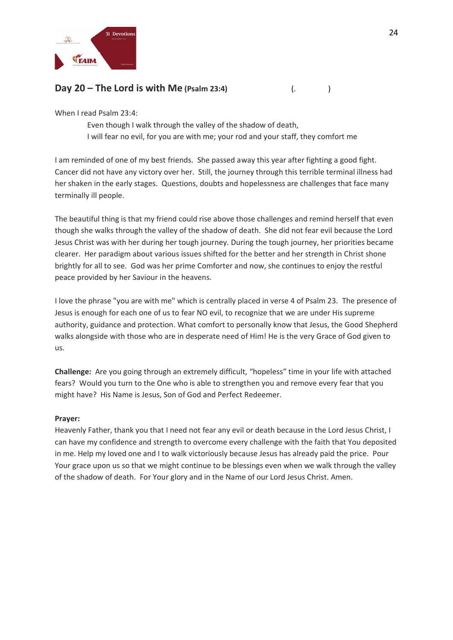

## **Day 20 – The Lord is with Me (Psalm 23:4)** (. )

When I read Psalm 23:4:

Even though I walk through the valley of the shadow of death, I will fear no evil, for you are with me; your rod and your staff, they comfort me

I am reminded of one of my best friends. She passed away this year after fighting a good fight. Cancer did not have any victory over her. Still, the journey through this terrible terminal illness had her shaken in the early stages. Questions, doubts and hopelessness are challenges that face many terminally ill people.

The beautiful thing is that my friend could rise above those challenges and remind herself that even though she walks through the valley of the shadow of death. She did not fear evil because the Lord Jesus Christ was with her during her tough journey. During the tough journey, her priorities became clearer. Her paradigm about various issues shifted for the better and her strength in Christ shone brightly for all to see. God was her prime Comforter and now, she continues to enjoy the restful peace provided by her Saviour in the heavens.

I love the phrase "you are with me" which is centrally placed in verse 4 of Psalm 23. The presence of Jesus is enough for each one of us to fear NO evil, to recognize that we are under His supreme authority, guidance and protection. What comfort to personally know that Jesus, the Good Shepherd walks alongside with those who are in desperate need of Him! He is the very Grace of God given to us.

**Challenge:** Are you going through an extremely difficult, "hopeless" time in your life with attached fears? Would you turn to the One who is able to strengthen you and remove every fear that you might have? His Name is Jesus, Son of God and Perfect Redeemer.

### **Prayer:**

Heavenly Father, thank you that I need not fear any evil or death because in the Lord Jesus Christ, I can have my confidence and strength to overcome every challenge with the faith that You deposited in me. Help my loved one and I to walk victoriously because Jesus has already paid the price. Pour Your grace upon us so that we might continue to be blessings even when we walk through the valley of the shadow of death. For Your glory and in the Name of our Lord Jesus Christ. Amen.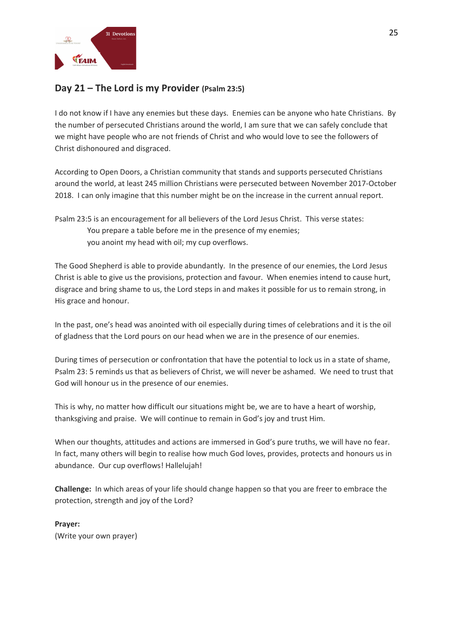

# **Day 21 – The Lord is my Provider (Psalm 23:5)**

I do not know if I have any enemies but these days. Enemies can be anyone who hate Christians. By the number of persecuted Christians around the world, I am sure that we can safely conclude that we might have people who are not friends of Christ and who would love to see the followers of Christ dishonoured and disgraced.

According to Open Doors, a Christian community that stands and supports persecuted Christians around the world, at least 245 million Christians were persecuted between November 2017-October 2018. I can only imagine that this number might be on the increase in the current annual report.

Psalm 23:5 is an encouragement for all believers of the Lord Jesus Christ. This verse states: You prepare a table before me in the presence of my enemies; you anoint my head with oil; my cup overflows.

The Good Shepherd is able to provide abundantly. In the presence of our enemies, the Lord Jesus Christ is able to give us the provisions, protection and favour. When enemies intend to cause hurt, disgrace and bring shame to us, the Lord steps in and makes it possible for us to remain strong, in His grace and honour.

In the past, one's head was anointed with oil especially during times of celebrations and it is the oil of gladness that the Lord pours on our head when we are in the presence of our enemies.

During times of persecution or confrontation that have the potential to lock us in a state of shame, Psalm 23: 5 reminds us that as believers of Christ, we will never be ashamed. We need to trust that God will honour us in the presence of our enemies.

This is why, no matter how difficult our situations might be, we are to have a heart of worship, thanksgiving and praise. We will continue to remain in God's joy and trust Him.

When our thoughts, attitudes and actions are immersed in God's pure truths, we will have no fear. In fact, many others will begin to realise how much God loves, provides, protects and honours us in abundance. Our cup overflows! Hallelujah!

**Challenge:** In which areas of your life should change happen so that you are freer to embrace the protection, strength and joy of the Lord?

**Prayer:** (Write your own prayer)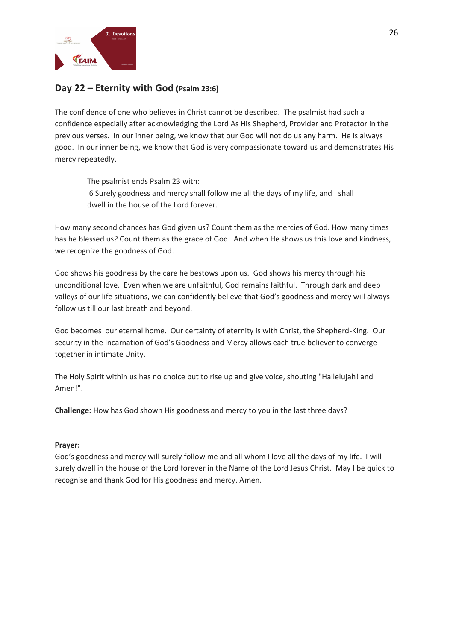

# **Day 22 – Eternity with God (Psalm 23:6)**

The confidence of one who believes in Christ cannot be described. The psalmist had such a confidence especially after acknowledging the Lord As His Shepherd, Provider and Protector in the previous verses. In our inner being, we know that our God will not do us any harm. He is always good. In our inner being, we know that God is very compassionate toward us and demonstrates His mercy repeatedly.

The psalmist ends Psalm 23 with: 6 Surely goodness and mercy shall follow me all the days of my life, and I shall dwell in the house of the Lord forever.

How many second chances has God given us? Count them as the mercies of God. How many times has he blessed us? Count them as the grace of God. And when He shows us this love and kindness, we recognize the goodness of God.

God shows his goodness by the care he bestows upon us. God shows his mercy through his unconditional love. Even when we are unfaithful, God remains faithful. Through dark and deep valleys of our life situations, we can confidently believe that God's goodness and mercy will always follow us till our last breath and beyond.

God becomes our eternal home. Our certainty of eternity is with Christ, the Shepherd-King. Our security in the Incarnation of God's Goodness and Mercy allows each true believer to converge together in intimate Unity.

The Holy Spirit within us has no choice but to rise up and give voice, shouting "Hallelujah! and Amen!".

**Challenge:** How has God shown His goodness and mercy to you in the last three days?

### **Prayer:**

God's goodness and mercy will surely follow me and all whom I love all the days of my life. I will surely dwell in the house of the Lord forever in the Name of the Lord Jesus Christ. May I be quick to recognise and thank God for His goodness and mercy. Amen.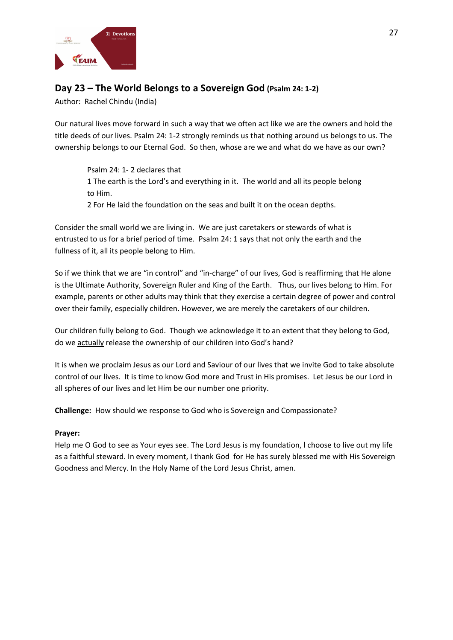

# **Day 23 – The World Belongs to a Sovereign God (Psalm 24: 1-2)**

Author: Rachel Chindu (India)

Our natural lives move forward in such a way that we often act like we are the owners and hold the title deeds of our lives. Psalm 24: 1-2 strongly reminds us that nothing around us belongs to us. The ownership belongs to our Eternal God. So then, whose are we and what do we have as our own?

Psalm 24: 1- 2 declares that 1 The earth is the Lord's and everything in it. The world and all its people belong to Him. 2 For He laid the foundation on the seas and built it on the ocean depths.

Consider the small world we are living in. We are just caretakers or stewards of what is entrusted to us for a brief period of time. Psalm 24: 1 says that not only the earth and the fullness of it, all its people belong to Him.

So if we think that we are "in control" and "in-charge" of our lives, God is reaffirming that He alone is the Ultimate Authority, Sovereign Ruler and King of the Earth. Thus, our lives belong to Him. For example, parents or other adults may think that they exercise a certain degree of power and control over their family, especially children. However, we are merely the caretakers of our children.

Our children fully belong to God. Though we acknowledge it to an extent that they belong to God, do we actually release the ownership of our children into God's hand?

It is when we proclaim Jesus as our Lord and Saviour of our lives that we invite God to take absolute control of our lives. It is time to know God more and Trust in His promises. Let Jesus be our Lord in all spheres of our lives and let Him be our number one priority.

**Challenge:** How should we response to God who is Sovereign and Compassionate?

### **Prayer:**

Help me O God to see as Your eyes see. The Lord Jesus is my foundation, l choose to live out my life as a faithful steward. In every moment, I thank God for He has surely blessed me with His Sovereign Goodness and Mercy. In the Holy Name of the Lord Jesus Christ, amen.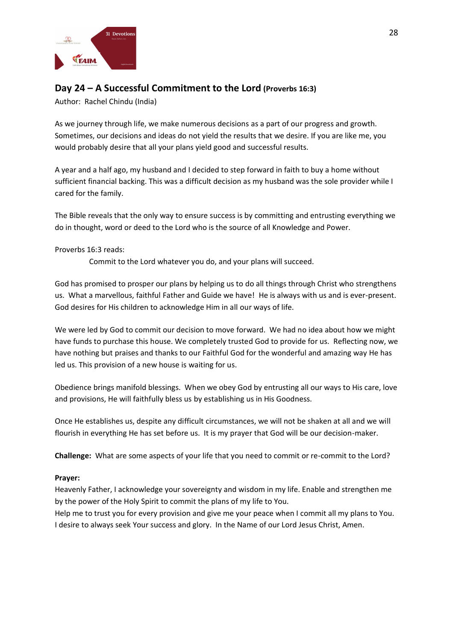

# **Day 24 – A Successful Commitment to the Lord (Proverbs 16:3)**

Author: Rachel Chindu (India)

As we journey through life, we make numerous decisions as a part of our progress and growth. Sometimes, our decisions and ideas do not yield the results that we desire. If you are like me, you would probably desire that all your plans yield good and successful results.

A year and a half ago, my husband and I decided to step forward in faith to buy a home without sufficient financial backing. This was a difficult decision as my husband was the sole provider while I cared for the family.

The Bible reveals that the only way to ensure success is by committing and entrusting everything we do in thought, word or deed to the Lord who is the source of all Knowledge and Power.

### Proverbs 16:3 reads:

Commit to the Lord whatever you do, and your plans will succeed.

God has promised to prosper our plans by helping us to do all things through Christ who strengthens us. What a marvellous, faithful Father and Guide we have! He is always with us and is ever-present. God desires for His children to acknowledge Him in all our ways of life.

We were led by God to commit our decision to move forward. We had no idea about how we might have funds to purchase this house. We completely trusted God to provide for us. Reflecting now, we have nothing but praises and thanks to our Faithful God for the wonderful and amazing way He has led us. This provision of a new house is waiting for us.

Obedience brings manifold blessings. When we obey God by entrusting all our ways to His care, love and provisions, He will faithfully bless us by establishing us in His Goodness.

Once He establishes us, despite any difficult circumstances, we will not be shaken at all and we will flourish in everything He has set before us. It is my prayer that God will be our decision-maker.

**Challenge:** What are some aspects of your life that you need to commit or re-commit to the Lord?

### **Prayer:**

Heavenly Father, I acknowledge your sovereignty and wisdom in my life. Enable and strengthen me by the power of the Holy Spirit to commit the plans of my life to You.

Help me to trust you for every provision and give me your peace when I commit all my plans to You. I desire to always seek Your success and glory. In the Name of our Lord Jesus Christ, Amen.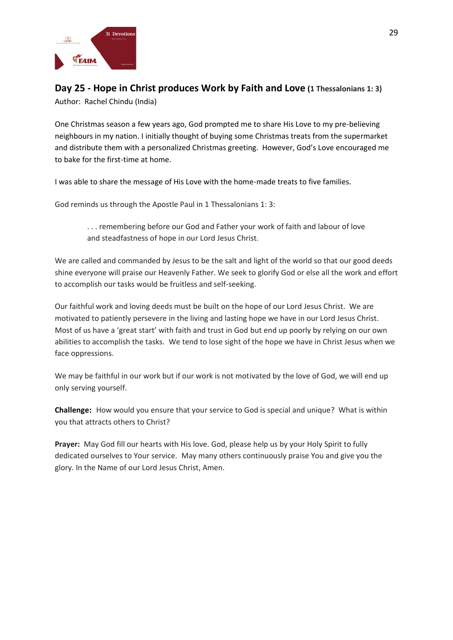

# **Day 25 - Hope in Christ produces Work by Faith and Love (1 Thessalonians 1: 3)**

Author: Rachel Chindu (India)

One Christmas season a few years ago, God prompted me to share His Love to my pre-believing neighbours in my nation. I initially thought of buying some Christmas treats from the supermarket and distribute them with a personalized Christmas greeting. However, God's Love encouraged me to bake for the first-time at home.

I was able to share the message of His Love with the home-made treats to five families.

God reminds us through the Apostle Paul in 1 Thessalonians 1: 3:

. . . remembering before our God and Father your work of faith and labour of love and steadfastness of hope in our Lord Jesus Christ.

We are called and commanded by Jesus to be the salt and light of the world so that our good deeds shine everyone will praise our Heavenly Father. We seek to glorify God or else all the work and effort to accomplish our tasks would be fruitless and self-seeking.

Our faithful work and loving deeds must be built on the hope of our Lord Jesus Christ. We are motivated to patiently persevere in the living and lasting hope we have in our Lord Jesus Christ. Most of us have a 'great start' with faith and trust in God but end up poorly by relying on our own abilities to accomplish the tasks. We tend to lose sight of the hope we have in Christ Jesus when we face oppressions.

We may be faithful in our work but if our work is not motivated by the love of God, we will end up only serving yourself.

**Challenge:** How would you ensure that your service to God is special and unique? What is within you that attracts others to Christ?

**Prayer:** May God fill our hearts with His love. God, please help us by your Holy Spirit to fully dedicated ourselves to Your service. May many others continuously praise You and give you the glory. In the Name of our Lord Jesus Christ, Amen.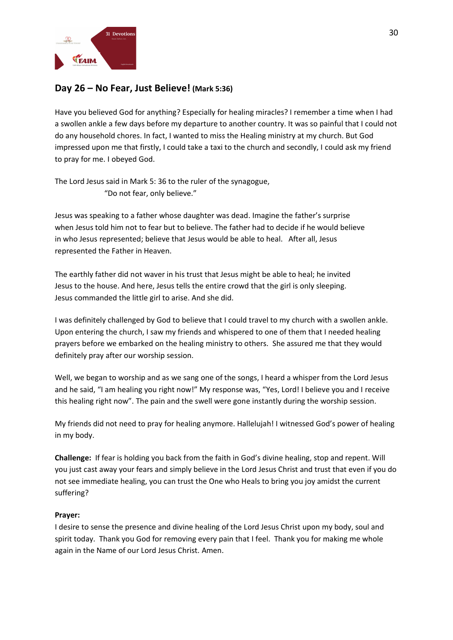

## **Day 26 – No Fear, Just Believe! (Mark 5:36)**

Have you believed God for anything? Especially for healing miracles? I remember a time when I had a swollen ankle a few days before my departure to another country. It was so painful that I could not do any household chores. In fact, I wanted to miss the Healing ministry at my church. But God impressed upon me that firstly, I could take a taxi to the church and secondly, I could ask my friend to pray for me. I obeyed God.

The Lord Jesus said in Mark 5: 36 to the ruler of the synagogue, "Do not fear, only believe."

Jesus was speaking to a father whose daughter was dead. Imagine the father's surprise when Jesus told him not to fear but to believe. The father had to decide if he would believe in who Jesus represented; believe that Jesus would be able to heal. After all, Jesus represented the Father in Heaven.

The earthly father did not waver in his trust that Jesus might be able to heal; he invited Jesus to the house. And here, Jesus tells the entire crowd that the girl is only sleeping. Jesus commanded the little girl to arise. And she did.

I was definitely challenged by God to believe that I could travel to my church with a swollen ankle. Upon entering the church, I saw my friends and whispered to one of them that I needed healing prayers before we embarked on the healing ministry to others. She assured me that they would definitely pray after our worship session.

Well, we began to worship and as we sang one of the songs, I heard a whisper from the Lord Jesus and he said, "I am healing you right now!" My response was, "Yes, Lord! I believe you and I receive this healing right now". The pain and the swell were gone instantly during the worship session.

My friends did not need to pray for healing anymore. Hallelujah! I witnessed God's power of healing in my body.

**Challenge:** If fear is holding you back from the faith in God's divine healing, stop and repent. Will you just cast away your fears and simply believe in the Lord Jesus Christ and trust that even if you do not see immediate healing, you can trust the One who Heals to bring you joy amidst the current suffering?

### **Prayer:**

I desire to sense the presence and divine healing of the Lord Jesus Christ upon my body, soul and spirit today. Thank you God for removing every pain that I feel. Thank you for making me whole again in the Name of our Lord Jesus Christ. Amen.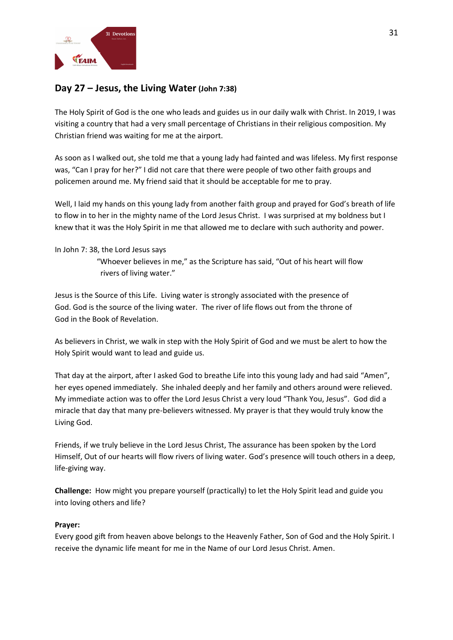

# **Day 27 – Jesus, the Living Water (John 7:38)**

The Holy Spirit of God is the one who leads and guides us in our daily walk with Christ. In 2019, I was visiting a country that had a very small percentage of Christians in their religious composition. My Christian friend was waiting for me at the airport.

As soon as I walked out, she told me that a young lady had fainted and was lifeless. My first response was, "Can I pray for her?" I did not care that there were people of two other faith groups and policemen around me. My friend said that it should be acceptable for me to pray.

Well, I laid my hands on this young lady from another faith group and prayed for God's breath of life to flow in to her in the mighty name of the Lord Jesus Christ. I was surprised at my boldness but I knew that it was the Holy Spirit in me that allowed me to declare with such authority and power.

### In John 7: 38, the Lord Jesus says

 "Whoever believes in me," as the Scripture has said, "Out of his heart will flow rivers of living water."

Jesus is the Source of this Life. Living water is strongly associated with the presence of God. God is the source of the living water. The river of life flows out from the throne of God in the Book of Revelation.

As believers in Christ, we walk in step with the Holy Spirit of God and we must be alert to how the Holy Spirit would want to lead and guide us.

That day at the airport, after I asked God to breathe Life into this young lady and had said "Amen", her eyes opened immediately. She inhaled deeply and her family and others around were relieved. My immediate action was to offer the Lord Jesus Christ a very loud "Thank You, Jesus". God did a miracle that day that many pre-believers witnessed. My prayer is that they would truly know the Living God.

Friends, if we truly believe in the Lord Jesus Christ, The assurance has been spoken by the Lord Himself, Out of our hearts will flow rivers of living water. God's presence will touch others in a deep, life-giving way.

**Challenge:** How might you prepare yourself (practically) to let the Holy Spirit lead and guide you into loving others and life?

### **Prayer:**

Every good gift from heaven above belongs to the Heavenly Father, Son of God and the Holy Spirit. I receive the dynamic life meant for me in the Name of our Lord Jesus Christ. Amen.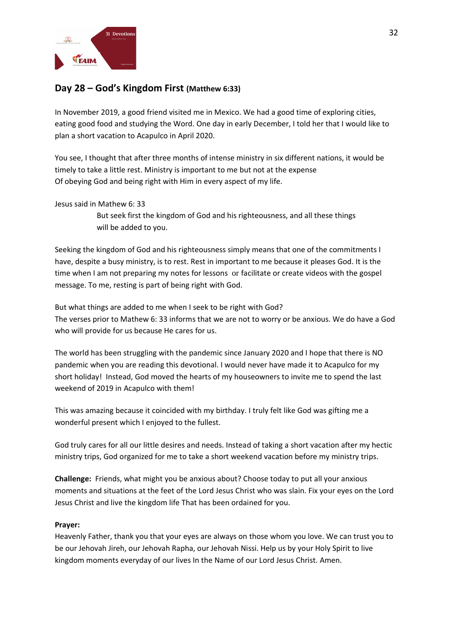

## **Day 28 – God's Kingdom First (Matthew 6:33)**

In November 2019, a good friend visited me in Mexico. We had a good time of exploring cities, eating good food and studying the Word. One day in early December, I told her that I would like to plan a short vacation to Acapulco in April 2020.

You see, I thought that after three months of intense ministry in six different nations, it would be timely to take a little rest. Ministry is important to me but not at the expense Of obeying God and being right with Him in every aspect of my life.

Jesus said in Mathew 6: 33

 But seek first the kingdom of God and his righteousness, and all these things will be added to you.

Seeking the kingdom of God and his righteousness simply means that one of the commitments I have, despite a busy ministry, is to rest. Rest in important to me because it pleases God. It is the time when I am not preparing my notes for lessons or facilitate or create videos with the gospel message. To me, resting is part of being right with God.

But what things are added to me when I seek to be right with God? The verses prior to Mathew 6: 33 informs that we are not to worry or be anxious. We do have a God who will provide for us because He cares for us.

The world has been struggling with the pandemic since January 2020 and I hope that there is NO pandemic when you are reading this devotional. I would never have made it to Acapulco for my short holiday! Instead, God moved the hearts of my houseowners to invite me to spend the last weekend of 2019 in Acapulco with them!

This was amazing because it coincided with my birthday. I truly felt like God was gifting me a wonderful present which I enjoyed to the fullest.

God truly cares for all our little desires and needs. Instead of taking a short vacation after my hectic ministry trips, God organized for me to take a short weekend vacation before my ministry trips.

**Challenge:** Friends, what might you be anxious about? Choose today to put all your anxious moments and situations at the feet of the Lord Jesus Christ who was slain. Fix your eyes on the Lord Jesus Christ and live the kingdom life That has been ordained for you.

### **Prayer:**

Heavenly Father, thank you that your eyes are always on those whom you love. We can trust you to be our Jehovah Jireh, our Jehovah Rapha, our Jehovah Nissi. Help us by your Holy Spirit to live kingdom moments everyday of our lives In the Name of our Lord Jesus Christ. Amen.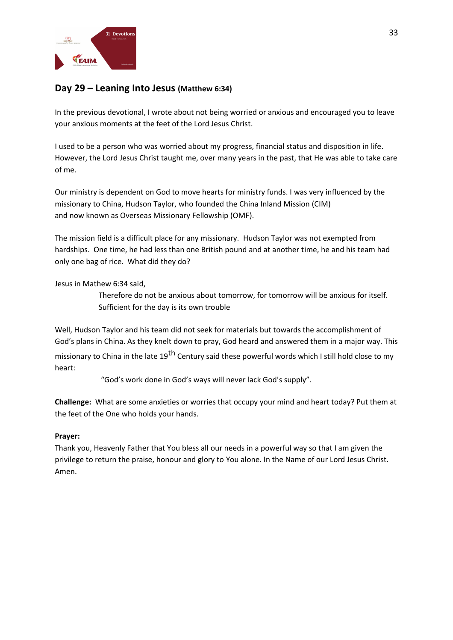

## **Day 29 – Leaning Into Jesus (Matthew 6:34)**

In the previous devotional, I wrote about not being worried or anxious and encouraged you to leave your anxious moments at the feet of the Lord Jesus Christ.

I used to be a person who was worried about my progress, financial status and disposition in life. However, the Lord Jesus Christ taught me, over many years in the past, that He was able to take care of me.

Our ministry is dependent on God to move hearts for ministry funds. I was very influenced by the missionary to China, Hudson Taylor, who founded the China Inland Mission (CIM) and now known as Overseas Missionary Fellowship (OMF).

The mission field is a difficult place for any missionary. Hudson Taylor was not exempted from hardships. One time, he had less than one British pound and at another time, he and his team had only one bag of rice. What did they do?

Jesus in Mathew 6:34 said,

 Therefore do not be anxious about tomorrow, for tomorrow will be anxious for itself. Sufficient for the day is its own trouble

Well, Hudson Taylor and his team did not seek for materials but towards the accomplishment of God's plans in China. As they knelt down to pray, God heard and answered them in a major way. This missionary to China in the late 19<sup>th</sup> Century said these powerful words which I still hold close to my heart:

"God's work done in God's ways will never lack God's supply".

**Challenge:** What are some anxieties or worries that occupy your mind and heart today? Put them at the feet of the One who holds your hands.

### **Prayer:**

Thank you, Heavenly Father that You bless all our needs in a powerful way so that I am given the privilege to return the praise, honour and glory to You alone. In the Name of our Lord Jesus Christ. Amen.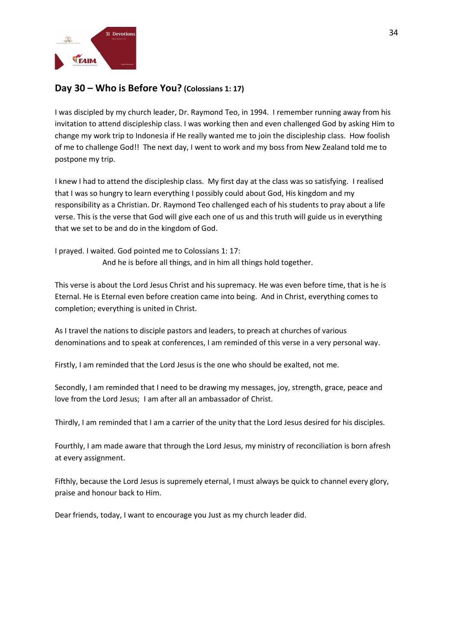

## **Day 30 – Who is Before You? (Colossians 1: 17)**

I was discipled by my church leader, Dr. Raymond Teo, in 1994. I remember running away from his invitation to attend discipleship class. I was working then and even challenged God by asking Him to change my work trip to Indonesia if He really wanted me to join the discipleship class. How foolish of me to challenge God!! The next day, I went to work and my boss from New Zealand told me to postpone my trip.

I knew I had to attend the discipleship class. My first day at the class was so satisfying. I realised that I was so hungry to learn everything I possibly could about God, His kingdom and my responsibility as a Christian. Dr. Raymond Teo challenged each of his students to pray about a life verse. This is the verse that God will give each one of us and this truth will guide us in everything that we set to be and do in the kingdom of God.

I prayed. I waited. God pointed me to Colossians 1: 17: And he is before all things, and in him all things hold together.

This verse is about the Lord Jesus Christ and his supremacy. He was even before time, that is he is Eternal. He is Eternal even before creation came into being. And in Christ, everything comes to completion; everything is united in Christ.

As I travel the nations to disciple pastors and leaders, to preach at churches of various denominations and to speak at conferences, I am reminded of this verse in a very personal way.

Firstly, I am reminded that the Lord Jesus is the one who should be exalted, not me.

Secondly, I am reminded that I need to be drawing my messages, joy, strength, grace, peace and love from the Lord Jesus; I am after all an ambassador of Christ.

Thirdly, I am reminded that I am a carrier of the unity that the Lord Jesus desired for his disciples.

Fourthly, I am made aware that through the Lord Jesus, my ministry of reconciliation is born afresh at every assignment.

Fifthly, because the Lord Jesus is supremely eternal, I must always be quick to channel every glory, praise and honour back to Him.

Dear friends, today, I want to encourage you Just as my church leader did.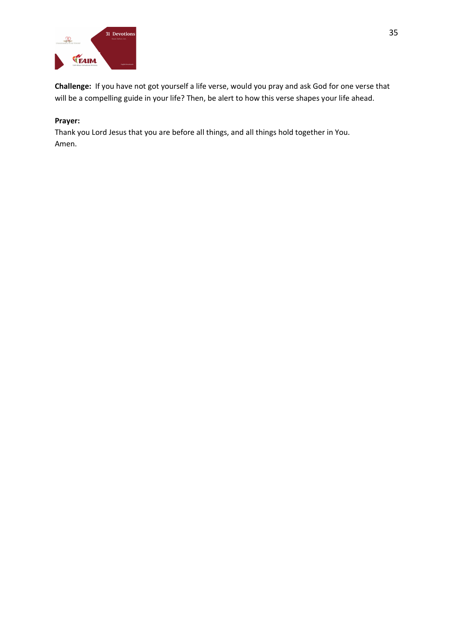

**Challenge:** If you have not got yourself a life verse, would you pray and ask God for one verse that will be a compelling guide in your life? Then, be alert to how this verse shapes your life ahead.

### **Prayer:**

Thank you Lord Jesus that you are before all things, and all things hold together in You. Amen.